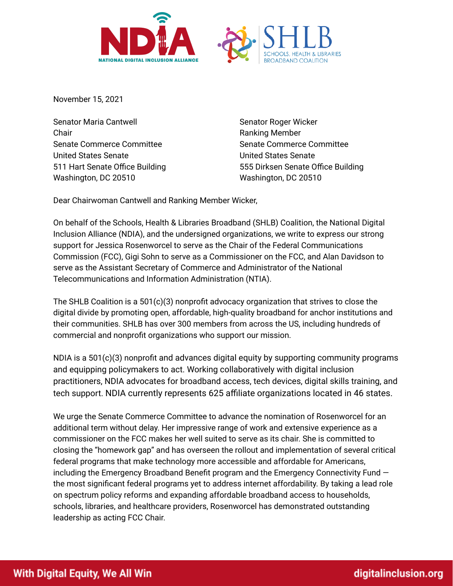



November 15, 2021

Senator Maria Cantwell Chair Senate Commerce Committee United States Senate 511 Hart Senate Office Building Washington, DC 20510 Washington, DC 20510

Senator Roger Wicker Ranking Member Senate Commerce Committee United States Senate 555 Dirksen Senate Office Building

Dear Chairwoman Cantwell and Ranking Member Wicker,

On behalf of the Schools, Health & Libraries Broadband (SHLB) Coalition, the National Digital Inclusion Alliance (NDIA), and the undersigned organizations, we write to express our strong support for Jessica Rosenworcel to serve as the Chair of the Federal Communications Commission (FCC), Gigi Sohn to serve as a Commissioner on the FCC, and Alan Davidson to serve as the Assistant Secretary of Commerce and Administrator of the National Telecommunications and Information Administration (NTIA).

The SHLB Coalition is a  $501(c)(3)$  nonprofit advocacy organization that strives to close the digital divide by promoting open, affordable, high-quality broadband for anchor institutions and their communities. SHLB has over 300 members from across the US, including hundreds of commercial and nonprofit organizations who support our mission.

NDIA is a 501(c)(3) nonprofit and advances digital equity by supporting community programs and equipping policymakers to act. Working collaboratively with digital inclusion practitioners, NDIA advocates for broadband access, tech devices, digital skills training, and tech support. NDIA currently represents 625 affiliate organizations located in 46 states.

We urge the Senate Commerce Committee to advance the nomination of Rosenworcel for an additional term without delay. Her impressive range of work and extensive experience as a commissioner on the FCC makes her well suited to serve as its chair. She is committed to closing the "homework gap" and has overseen the rollout and implementation of several critical federal programs that make technology more accessible and affordable for Americans, including the Emergency Broadband Benefit program and the Emergency Connectivity Fund the most significant federal programs yet to address internet affordability. By taking a lead role on spectrum policy reforms and expanding affordable broadband access to households, schools, libraries, and healthcare providers, Rosenworcel has demonstrated outstanding leadership as acting FCC Chair.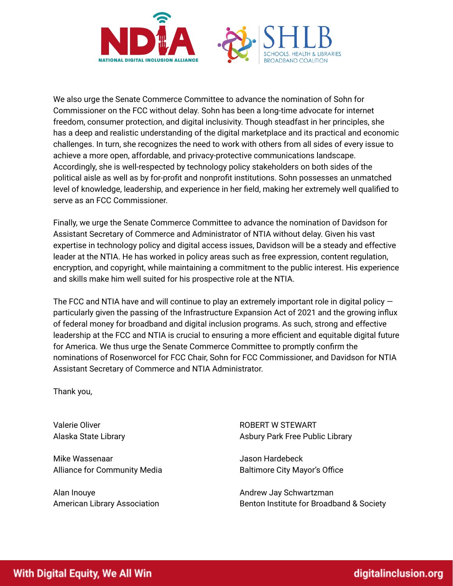

We also urge the Senate Commerce Committee to advance the nomination of Sohn for Commissioner on the FCC without delay. Sohn has been a long-time advocate for internet freedom, consumer protection, and digital inclusivity. Though steadfast in her principles, she has a deep and realistic understanding of the digital marketplace and its practical and economic challenges. In turn, she recognizes the need to work with others from all sides of every issue to achieve a more open, affordable, and privacy-protective communications landscape. Accordingly, she is well-respected by technology policy stakeholders on both sides of the political aisle as well as by for-profit and nonprofit institutions. Sohn possesses an unmatched level of knowledge, leadership, and experience in her field, making her extremely well qualified to serve as an FCC Commissioner.

Finally, we urge the Senate Commerce Committee to advance the nomination of Davidson for Assistant Secretary of Commerce and Administrator of NTIA without delay. Given his vast expertise in technology policy and digital access issues, Davidson will be a steady and effective leader at the NTIA. He has worked in policy areas such as free expression, content regulation, encryption, and copyright, while maintaining a commitment to the public interest. His experience and skills make him well suited for his prospective role at the NTIA.

The FCC and NTIA have and will continue to play an extremely important role in digital policy particularly given the passing of the Infrastructure Expansion Act of 2021 and the growing influx of federal money for broadband and digital inclusion programs. As such, strong and effective leadership at the FCC and NTIA is crucial to ensuring a more efficient and equitable digital future for America. We thus urge the Senate Commerce Committee to promptly confirm the nominations of Rosenworcel for FCC Chair, Sohn for FCC Commissioner, and Davidson for NTIA Assistant Secretary of Commerce and NTIA Administrator.

Thank you,

Valerie Oliver Alaska State Library

Mike Wassenaar Alliance for Community Media

Alan Inouye American Library Association ROBERT W STEWART Asbury Park Free Public Library

Jason Hardebeck Baltimore City Mayor's Office

Andrew Jay Schwartzman Benton Institute for Broadband & Society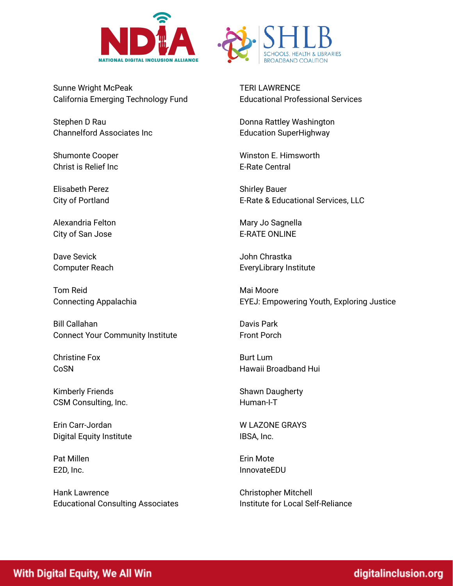



Sunne Wright McPeak California Emerging Technology Fund

Stephen D Rau Channelford Associates Inc

Shumonte Cooper Christ is Relief Inc

Elisabeth Perez City of Portland

Alexandria Felton City of San Jose

Dave Sevick Computer Reach

Tom Reid Connecting Appalachia

Bill Callahan Connect Your Community Institute

Christine Fox **CoSN** 

Kimberly Friends CSM Consulting, Inc.

Erin Carr-Jordan Digital Equity Institute

Pat Millen E2D, Inc.

Hank Lawrence Educational Consulting Associates TERI LAWRENCE Educational Professional Services

Donna Rattley Washington Education SuperHighway

Winston E. Himsworth E-Rate Central

Shirley Bauer E-Rate & Educational Services, LLC

Mary Jo Sagnella E-RATE ONLINE

John Chrastka EveryLibrary Institute

Mai Moore EYEJ: Empowering Youth, Exploring Justice

Davis Park Front Porch

Burt Lum Hawaii Broadband Hui

Shawn Daugherty Human-I-T

W LAZONE GRAYS IBSA, Inc.

Erin Mote InnovateEDU

Christopher Mitchell Institute for Local Self-Reliance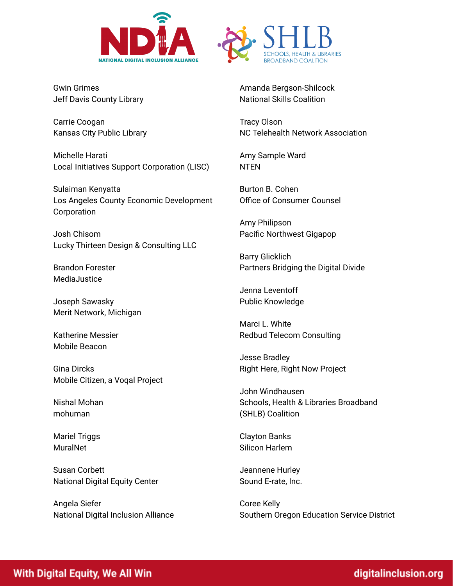



Gwin Grimes Jeff Davis County Library

Carrie Coogan Kansas City Public Library

Michelle Harati Local Initiatives Support Corporation (LISC)

Sulaiman Kenyatta Los Angeles County Economic Development Corporation

Josh Chisom Lucky Thirteen Design & Consulting LLC

Brandon Forester MediaJustice

Joseph Sawasky Merit Network, Michigan

Katherine Messier Mobile Beacon

Gina Dircks Mobile Citizen, a Voqal Project

Nishal Mohan mohuman

Mariel Triggs **MuralNet** 

Susan Corbett National Digital Equity Center

Angela Siefer National Digital Inclusion Alliance Amanda Bergson-Shilcock National Skills Coalition

Tracy Olson NC Telehealth Network Association

Amy Sample Ward NTEN

Burton B. Cohen Office of Consumer Counsel

Amy Philipson Pacific Northwest Gigapop

Barry Glicklich Partners Bridging the Digital Divide

Jenna Leventoff Public Knowledge

Marci L. White Redbud Telecom Consulting

Jesse Bradley Right Here, Right Now Project

John Windhausen Schools, Health & Libraries Broadband (SHLB) Coalition

Clayton Banks Silicon Harlem

Jeannene Hurley Sound E-rate, Inc.

Coree Kelly Southern Oregon Education Service District